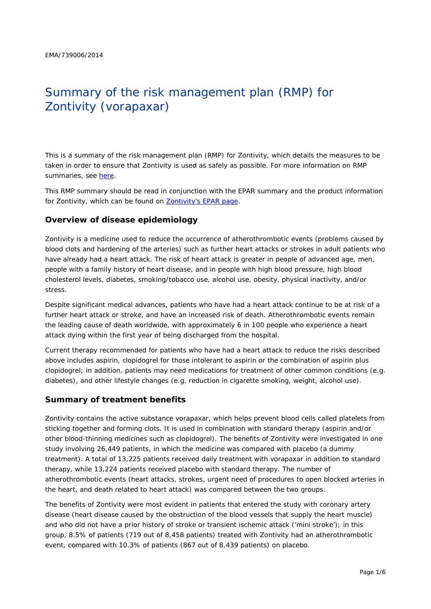# Summary of the risk management plan (RMP) for Zontivity (vorapaxar)

This is a summary of the risk management plan (RMP) for Zontivity, which details the measures to be taken in order to ensure that Zontivity is used as safely as possible. For more information on RMP summaries, see [here.](http://www.ema.europa.eu/docs/en_GB/document_library/Other/2014/05/WC500166101.pdf)

This RMP summary should be read in conjunction with the EPAR summary and the product information for Zontivity, which can be found on [Zontivity's EPAR page.](http://www.ema.europa.eu/ema/index.jsp?curl=/pages/medicines/human/medicines/002814/human_med_001839.jsp)

## **Overview of disease epidemiology**

Zontivity is a medicine used to reduce the occurrence of atherothrombotic events (problems caused by blood clots and hardening of the arteries) such as further heart attacks or strokes in adult patients who have already had a heart attack. The risk of heart attack is greater in people of advanced age, men, people with a family history of heart disease, and in people with high blood pressure, high blood cholesterol levels, diabetes, smoking/tobacco use, alcohol use, obesity, physical inactivity, and/or stress.

Despite significant medical advances, patients who have had a heart attack continue to be at risk of a further heart attack or stroke, and have an increased risk of death. Atherothrombotic events remain the leading cause of death worldwide, with approximately 6 in 100 people who experience a heart attack dying within the first year of being discharged from the hospital.

Current therapy recommended for patients who have had a heart attack to reduce the risks described above includes aspirin, clopidogrel for those intolerant to aspirin or the combination of aspirin plus clopidogrel; in addition, patients may need medications for treatment of other common conditions (e.g. diabetes), and other lifestyle changes (e.g. reduction in cigarette smoking, weight, alcohol use).

## **Summary of treatment benefits**

Zontivity contains the active substance vorapaxar, which helps prevent blood cells called platelets from sticking together and forming clots. It is used in combination with standard therapy (aspirin and/or other blood-thinning medicines such as clopidogrel). The benefits of Zontivity were investigated in one study involving 26,449 patients, in which the medicine was compared with placebo (a dummy treatment). A total of 13,225 patients received daily treatment with vorapaxar in addition to standard therapy, while 13,224 patients received placebo with standard therapy. The number of atherothrombotic events (heart attacks, strokes, urgent need of procedures to open blocked arteries in the heart, and death related to heart attack) was compared between the two groups.

The benefits of Zontivity were most evident in patients that entered the study with coronary artery disease (heart disease caused by the obstruction of the blood vessels that supply the heart muscle) and who did not have a prior history of stroke or transient ischemic attack ('mini stroke'); in this group, 8.5% of patients (719 out of 8,458 patients) treated with Zontivity had an atherothrombotic event, compared with 10.3% of patients (867 out of 8,439 patients) on placebo.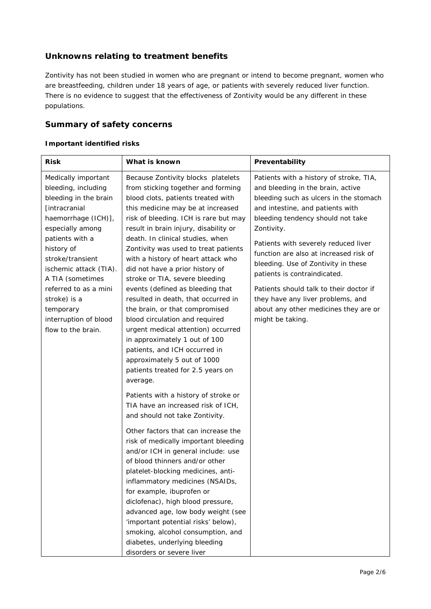# **Unknowns relating to treatment benefits**

Zontivity has not been studied in women who are pregnant or intend to become pregnant, women who are breastfeeding, children under 18 years of age, or patients with severely reduced liver function. There is no evidence to suggest that the effectiveness of Zontivity would be any different in these populations.

# **Summary of safety concerns**

## *Important identified risks*

| <b>Risk</b>                                                                                                                                        | What is known                                                                                                                                                                                                                                                                                                                                                                                                                                                                  | Preventability                                                                                                                                                                                                                                                                                                                                                         |  |
|----------------------------------------------------------------------------------------------------------------------------------------------------|--------------------------------------------------------------------------------------------------------------------------------------------------------------------------------------------------------------------------------------------------------------------------------------------------------------------------------------------------------------------------------------------------------------------------------------------------------------------------------|------------------------------------------------------------------------------------------------------------------------------------------------------------------------------------------------------------------------------------------------------------------------------------------------------------------------------------------------------------------------|--|
| Medically important<br>bleeding, including<br>bleeding in the brain<br>[intracranial<br>haemorrhage (ICH)],<br>especially among<br>patients with a | Because Zontivity blocks platelets<br>from sticking together and forming<br>blood clots, patients treated with<br>this medicine may be at increased<br>risk of bleeding. ICH is rare but may<br>result in brain injury, disability or<br>death. In clinical studies, when                                                                                                                                                                                                      | Patients with a history of stroke, TIA,<br>and bleeding in the brain, active<br>bleeding such as ulcers in the stomach<br>and intestine, and patients with<br>bleeding tendency should not take<br>Zontivity.<br>Patients with severely reduced liver<br>function are also at increased risk of<br>bleeding. Use of Zontivity in these<br>patients is contraindicated. |  |
| history of<br>stroke/transient<br>ischemic attack (TIA).<br>A TIA (sometimes                                                                       | Zontivity was used to treat patients<br>with a history of heart attack who<br>did not have a prior history of<br>stroke or TIA, severe bleeding                                                                                                                                                                                                                                                                                                                                |                                                                                                                                                                                                                                                                                                                                                                        |  |
| referred to as a mini<br>stroke) is a<br>temporary<br>interruption of blood<br>flow to the brain.                                                  | events (defined as bleeding that<br>resulted in death, that occurred in<br>the brain, or that compromised<br>blood circulation and required<br>urgent medical attention) occurred<br>in approximately 1 out of 100<br>patients, and ICH occurred in<br>approximately 5 out of 1000<br>patients treated for 2.5 years on<br>average.                                                                                                                                            | Patients should talk to their doctor if<br>they have any liver problems, and<br>about any other medicines they are or<br>might be taking.                                                                                                                                                                                                                              |  |
|                                                                                                                                                    | Patients with a history of stroke or<br>TIA have an increased risk of ICH,<br>and should not take Zontivity.                                                                                                                                                                                                                                                                                                                                                                   |                                                                                                                                                                                                                                                                                                                                                                        |  |
|                                                                                                                                                    | Other factors that can increase the<br>risk of medically important bleeding<br>and/or ICH in general include: use<br>of blood thinners and/or other<br>platelet-blocking medicines, anti-<br>inflammatory medicines (NSAIDs,<br>for example, ibuprofen or<br>diclofenac), high blood pressure,<br>advanced age, low body weight (see<br>'important potential risks' below),<br>smoking, alcohol consumption, and<br>diabetes, underlying bleeding<br>disorders or severe liver |                                                                                                                                                                                                                                                                                                                                                                        |  |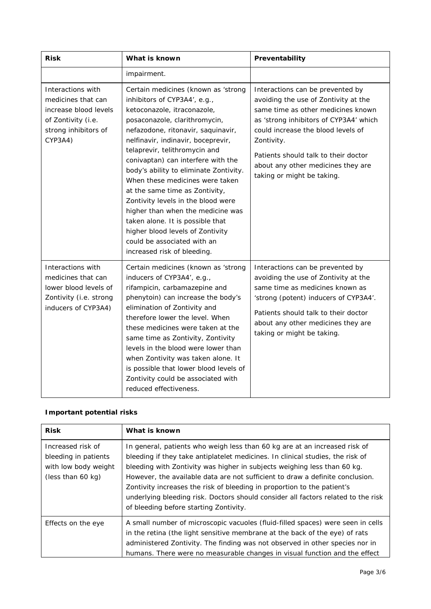| <b>Risk</b>                                                                                                               | What is known                                                                                                                                                                                                                                                                                                                                                                                                                                                                                                                                                                                                          | Preventability                                                                                                                                                                                                                                                                                                           |  |
|---------------------------------------------------------------------------------------------------------------------------|------------------------------------------------------------------------------------------------------------------------------------------------------------------------------------------------------------------------------------------------------------------------------------------------------------------------------------------------------------------------------------------------------------------------------------------------------------------------------------------------------------------------------------------------------------------------------------------------------------------------|--------------------------------------------------------------------------------------------------------------------------------------------------------------------------------------------------------------------------------------------------------------------------------------------------------------------------|--|
|                                                                                                                           | impairment.                                                                                                                                                                                                                                                                                                                                                                                                                                                                                                                                                                                                            |                                                                                                                                                                                                                                                                                                                          |  |
| Interactions with<br>medicines that can<br>increase blood levels<br>of Zontivity (i.e.<br>strong inhibitors of<br>CYP3A4) | Certain medicines (known as 'strong<br>inhibitors of CYP3A4', e.g.,<br>ketoconazole, itraconazole,<br>posaconazole, clarithromycin,<br>nefazodone, ritonavir, saquinavir,<br>nelfinavir, indinavir, boceprevir,<br>telaprevir, telithromycin and<br>conivaptan) can interfere with the<br>body's ability to eliminate Zontivity.<br>When these medicines were taken<br>at the same time as Zontivity,<br>Zontivity levels in the blood were<br>higher than when the medicine was<br>taken alone. It is possible that<br>higher blood levels of Zontivity<br>could be associated with an<br>increased risk of bleeding. | Interactions can be prevented by<br>avoiding the use of Zontivity at the<br>same time as other medicines known<br>as 'strong inhibitors of CYP3A4' which<br>could increase the blood levels of<br>Zontivity.<br>Patients should talk to their doctor<br>about any other medicines they are<br>taking or might be taking. |  |
| Interactions with<br>medicines that can<br>lower blood levels of<br>Zontivity (i.e. strong<br>inducers of CYP3A4)         | Certain medicines (known as 'strong<br>inducers of CYP3A4', e.g.,<br>rifampicin, carbamazepine and<br>phenytoin) can increase the body's<br>elimination of Zontivity and<br>therefore lower the level. When<br>these medicines were taken at the<br>same time as Zontivity, Zontivity<br>levels in the blood were lower than<br>when Zontivity was taken alone. It<br>is possible that lower blood levels of<br>Zontivity could be associated with<br>reduced effectiveness.                                                                                                                                           | Interactions can be prevented by<br>avoiding the use of Zontivity at the<br>same time as medicines known as<br>'strong (potent) inducers of CYP3A4'.<br>Patients should talk to their doctor<br>about any other medicines they are<br>taking or might be taking.                                                         |  |

## *Important potential risks*

| <b>Risk</b>                                                                            | What is known                                                                                                                                                                                                                                                                                                                                                                                                                                                                                                                       |
|----------------------------------------------------------------------------------------|-------------------------------------------------------------------------------------------------------------------------------------------------------------------------------------------------------------------------------------------------------------------------------------------------------------------------------------------------------------------------------------------------------------------------------------------------------------------------------------------------------------------------------------|
| Increased risk of<br>bleeding in patients<br>with low body weight<br>(less than 60 kg) | In general, patients who weigh less than 60 kg are at an increased risk of<br>bleeding if they take antiplatelet medicines. In clinical studies, the risk of<br>bleeding with Zontivity was higher in subjects weighing less than 60 kg.<br>However, the available data are not sufficient to draw a definite conclusion.<br>Zontivity increases the risk of bleeding in proportion to the patient's<br>underlying bleeding risk. Doctors should consider all factors related to the risk<br>of bleeding before starting Zontivity. |
| Effects on the eye                                                                     | A small number of microscopic vacuoles (fluid-filled spaces) were seen in cells<br>in the retina (the light sensitive membrane at the back of the eye) of rats<br>administered Zontivity. The finding was not observed in other species nor in<br>humans. There were no measurable changes in visual function and the effect                                                                                                                                                                                                        |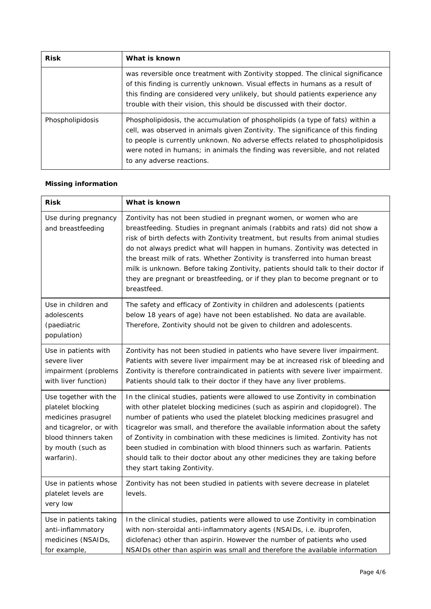| <b>Risk</b>      | What is known                                                                                                                                                                                                                                                                                                                                                   |  |
|------------------|-----------------------------------------------------------------------------------------------------------------------------------------------------------------------------------------------------------------------------------------------------------------------------------------------------------------------------------------------------------------|--|
|                  | was reversible once treatment with Zontivity stopped. The clinical significance<br>of this finding is currently unknown. Visual effects in humans as a result of<br>this finding are considered very unlikely, but should patients experience any<br>trouble with their vision, this should be discussed with their doctor.                                     |  |
| Phospholipidosis | Phospholipidosis, the accumulation of phospholipids (a type of fats) within a<br>cell, was observed in animals given Zontivity. The significance of this finding<br>to people is currently unknown. No adverse effects related to phospholipidosis<br>were noted in humans; in animals the finding was reversible, and not related<br>to any adverse reactions. |  |

## *Missing information*

| <b>Risk</b>                                                                                                                                             | What is known                                                                                                                                                                                                                                                                                                                                                                                                                                                                                                                                                                                                  |
|---------------------------------------------------------------------------------------------------------------------------------------------------------|----------------------------------------------------------------------------------------------------------------------------------------------------------------------------------------------------------------------------------------------------------------------------------------------------------------------------------------------------------------------------------------------------------------------------------------------------------------------------------------------------------------------------------------------------------------------------------------------------------------|
| Use during pregnancy<br>and breastfeeding                                                                                                               | Zontivity has not been studied in pregnant women, or women who are<br>breastfeeding. Studies in pregnant animals (rabbits and rats) did not show a<br>risk of birth defects with Zontivity treatment, but results from animal studies<br>do not always predict what will happen in humans. Zontivity was detected in<br>the breast milk of rats. Whether Zontivity is transferred into human breast<br>milk is unknown. Before taking Zontivity, patients should talk to their doctor if<br>they are pregnant or breastfeeding, or if they plan to become pregnant or to<br>breastfeed.                        |
| Use in children and<br>adolescents<br>(paediatric<br>population)                                                                                        | The safety and efficacy of Zontivity in children and adolescents (patients<br>below 18 years of age) have not been established. No data are available.<br>Therefore, Zontivity should not be given to children and adolescents.                                                                                                                                                                                                                                                                                                                                                                                |
| Use in patients with<br>severe liver<br>impairment (problems<br>with liver function)                                                                    | Zontivity has not been studied in patients who have severe liver impairment.<br>Patients with severe liver impairment may be at increased risk of bleeding and<br>Zontivity is therefore contraindicated in patients with severe liver impairment.<br>Patients should talk to their doctor if they have any liver problems.                                                                                                                                                                                                                                                                                    |
| Use together with the<br>platelet blocking<br>medicines prasugrel<br>and ticagrelor, or with<br>blood thinners taken<br>by mouth (such as<br>warfarin). | In the clinical studies, patients were allowed to use Zontivity in combination<br>with other platelet blocking medicines (such as aspirin and clopidogrel). The<br>number of patients who used the platelet blocking medicines prasugrel and<br>ticagrelor was small, and therefore the available information about the safety<br>of Zontivity in combination with these medicines is limited. Zontivity has not<br>been studied in combination with blood thinners such as warfarin. Patients<br>should talk to their doctor about any other medicines they are taking before<br>they start taking Zontivity. |
| Use in patients whose<br>platelet levels are<br>very low                                                                                                | Zontivity has not been studied in patients with severe decrease in platelet<br>levels.                                                                                                                                                                                                                                                                                                                                                                                                                                                                                                                         |
| Use in patients taking<br>anti-inflammatory<br>medicines (NSAIDs,<br>for example,                                                                       | In the clinical studies, patients were allowed to use Zontivity in combination<br>with non-steroidal anti-inflammatory agents (NSAIDs, i.e. ibuprofen,<br>diclofenac) other than aspirin. However the number of patients who used<br>NSAIDs other than aspirin was small and therefore the available information                                                                                                                                                                                                                                                                                               |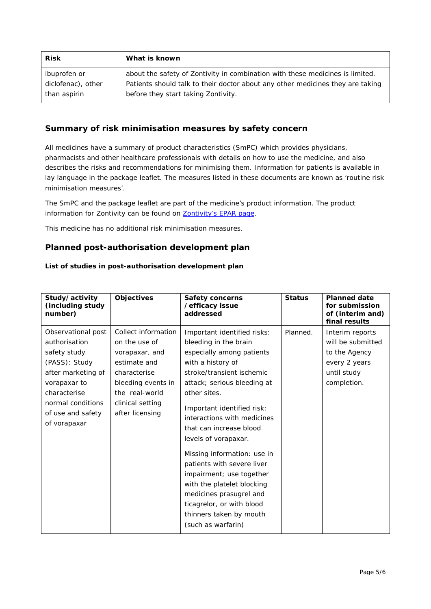| <b>Risk</b>        | What is known                                                                  |
|--------------------|--------------------------------------------------------------------------------|
| ibuprofen or       | about the safety of Zontivity in combination with these medicines is limited.  |
| diclofenac), other | Patients should talk to their doctor about any other medicines they are taking |
| than aspirin       | before they start taking Zontivity.                                            |

## **Summary of risk minimisation measures by safety concern**

All medicines have a summary of product characteristics (SmPC) which provides physicians, pharmacists and other healthcare professionals with details on how to use the medicine, and also describes the risks and recommendations for minimising them. Information for patients is available in lay language in the package leaflet. The measures listed in these documents are known as 'routine risk minimisation measures'.

The SmPC and the package leaflet are part of the medicine's product information. The product information for Zontivity can be found on **Zontivity's EPAR page**.

This medicine has no additional risk minimisation measures.

## **Planned post-authorisation development plan**

#### *List of studies in post-authorisation development plan*

| Study/activity<br>(including study<br>number)                                                                                                                                        | <b>Objectives</b>                                                                                                                                                     | <b>Safety concerns</b><br>/efficacy issue<br>addressed                                                                                                                                                                                                                                                                                                                                                                                                                                                                             | <b>Status</b> | <b>Planned date</b><br>for submission<br>of (interim and)<br>final results                           |
|--------------------------------------------------------------------------------------------------------------------------------------------------------------------------------------|-----------------------------------------------------------------------------------------------------------------------------------------------------------------------|------------------------------------------------------------------------------------------------------------------------------------------------------------------------------------------------------------------------------------------------------------------------------------------------------------------------------------------------------------------------------------------------------------------------------------------------------------------------------------------------------------------------------------|---------------|------------------------------------------------------------------------------------------------------|
| Observational post<br>authorisation<br>safety study<br>(PASS): Study<br>after marketing of<br>vorapaxar to<br>characterise<br>normal conditions<br>of use and safety<br>of vorapaxar | Collect information<br>on the use of<br>vorapaxar, and<br>estimate and<br>characterise<br>bleeding events in<br>the real-world<br>clinical setting<br>after licensing | Important identified risks:<br>bleeding in the brain<br>especially among patients<br>with a history of<br>stroke/transient ischemic<br>attack; serious bleeding at<br>other sites.<br>Important identified risk:<br>interactions with medicines<br>that can increase blood<br>levels of vorapaxar.<br>Missing information: use in<br>patients with severe liver<br>impairment; use together<br>with the platelet blocking<br>medicines prasugrel and<br>ticagrelor, or with blood<br>thinners taken by mouth<br>(such as warfarin) | Planned.      | Interim reports<br>will be submitted<br>to the Agency<br>every 2 years<br>until study<br>completion. |